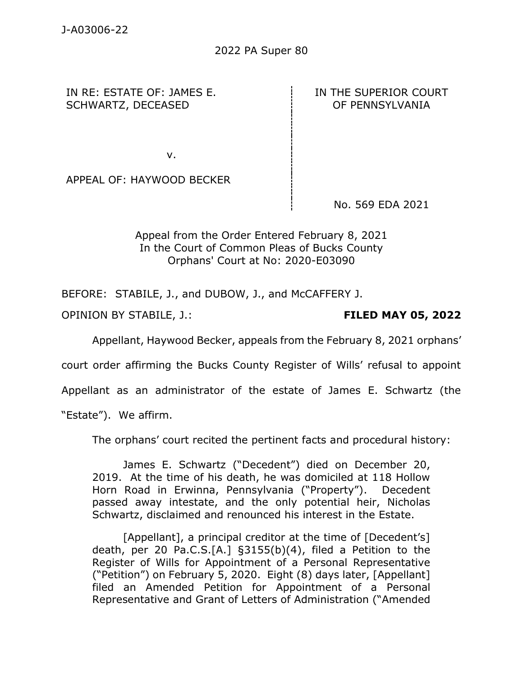2022 PA Super 80

IN RE: ESTATE OF: JAMES E. SCHWARTZ, DECEASED

IN THE SUPERIOR COURT OF PENNSYLVANIA

v.

APPEAL OF: HAYWOOD BECKER

No. 569 EDA 2021

Appeal from the Order Entered February 8, 2021 In the Court of Common Pleas of Bucks County Orphans' Court at No: 2020-E03090

BEFORE: STABILE, J., and DUBOW, J., and McCAFFERY J.

OPINION BY STABILE, J.: **FILED MAY 05, 2022**

Appellant, Haywood Becker, appeals from the February 8, 2021 orphans'

court order affirming the Bucks County Register of Wills' refusal to appoint

Appellant as an administrator of the estate of James E. Schwartz (the

"Estate"). We affirm.

The orphans' court recited the pertinent facts and procedural history:

James E. Schwartz ("Decedent") died on December 20, 2019. At the time of his death, he was domiciled at 118 Hollow Horn Road in Erwinna, Pennsylvania ("Property"). Decedent passed away intestate, and the only potential heir, Nicholas Schwartz, disclaimed and renounced his interest in the Estate.

[Appellant], a principal creditor at the time of [Decedent's] death, per 20 Pa.C.S.[A.] §3155(b)(4), filed a Petition to the Register of Wills for Appointment of a Personal Representative ("Petition") on February 5, 2020. Eight (8) days later, [Appellant] filed an Amended Petition for Appointment of a Personal Representative and Grant of Letters of Administration ("Amended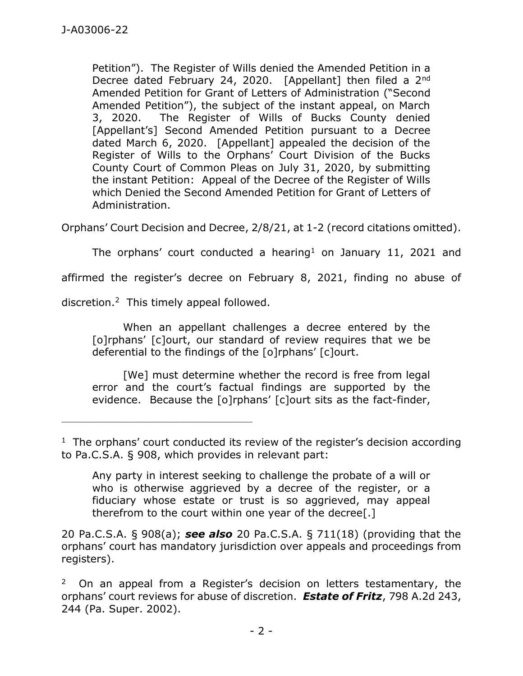Petition"). The Register of Wills denied the Amended Petition in a Decree dated February 24, 2020. [Appellant] then filed a 2<sup>nd</sup> Amended Petition for Grant of Letters of Administration ("Second Amended Petition"), the subject of the instant appeal, on March 3, 2020. The Register of Wills of Bucks County denied [Appellant's] Second Amended Petition pursuant to a Decree dated March 6, 2020. [Appellant] appealed the decision of the Register of Wills to the Orphans' Court Division of the Bucks County Court of Common Pleas on July 31, 2020, by submitting the instant Petition: Appeal of the Decree of the Register of Wills which Denied the Second Amended Petition for Grant of Letters of Administration.

Orphans' Court Decision and Decree, 2/8/21, at 1-2 (record citations omitted).

The orphans' court conducted a hearing<sup>1</sup> on January 11, 2021 and

affirmed the register's decree on February 8, 2021, finding no abuse of

discretion. 2 This timely appeal followed.

\_\_\_\_\_\_\_\_\_\_\_\_\_\_\_\_\_\_\_\_\_\_\_\_\_\_\_\_\_\_\_\_\_\_\_\_\_\_\_\_\_\_\_\_

When an appellant challenges a decree entered by the [o]rphans' [c]ourt, our standard of review requires that we be deferential to the findings of the [o]rphans' [c]ourt.

[We] must determine whether the record is free from legal error and the court's factual findings are supported by the evidence. Because the [o]rphans' [c]ourt sits as the fact-finder,

Any party in interest seeking to challenge the probate of a will or who is otherwise aggrieved by a decree of the register, or a fiduciary whose estate or trust is so aggrieved, may appeal therefrom to the court within one year of the decree[.]

20 Pa.C.S.A. § 908(a); *see also* 20 Pa.C.S.A. § 711(18) (providing that the orphans' court has mandatory jurisdiction over appeals and proceedings from registers).

2 On an appeal from a Register's decision on letters testamentary, the orphans' court reviews for abuse of discretion. *Estate of Fritz*, 798 A.2d 243, 244 (Pa. Super. 2002).

<sup>&</sup>lt;sup>1</sup> The orphans' court conducted its review of the register's decision according to Pa.C.S.A. § 908, which provides in relevant part: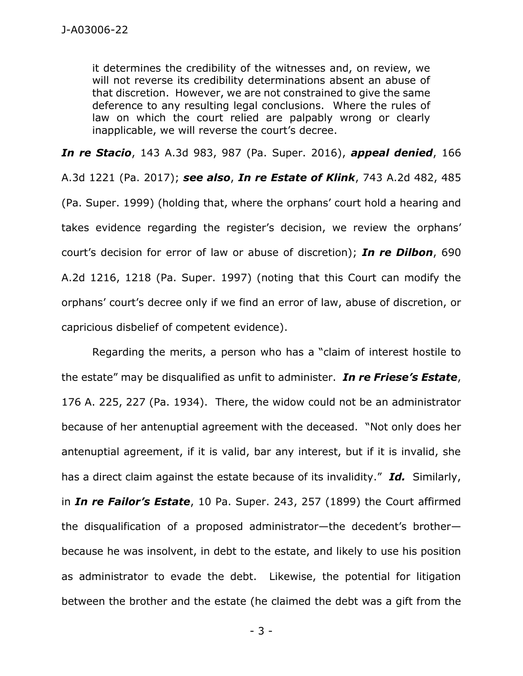it determines the credibility of the witnesses and, on review, we will not reverse its credibility determinations absent an abuse of that discretion. However, we are not constrained to give the same deference to any resulting legal conclusions. Where the rules of law on which the court relied are palpably wrong or clearly inapplicable, we will reverse the court's decree.

*In re Stacio*, 143 A.3d 983, 987 (Pa. Super. 2016), *appeal denied*, 166

A.3d 1221 (Pa. 2017); *see also*, *In re Estate of Klink*, 743 A.2d 482, 485 (Pa. Super. 1999) (holding that, where the orphans' court hold a hearing and takes evidence regarding the register's decision, we review the orphans' court's decision for error of law or abuse of discretion); *In re Dilbon*, 690 A.2d 1216, 1218 (Pa. Super. 1997) (noting that this Court can modify the orphans' court's decree only if we find an error of law, abuse of discretion, or capricious disbelief of competent evidence).

Regarding the merits, a person who has a "claim of interest hostile to the estate" may be disqualified as unfit to administer. *In re Friese's Estate*, 176 A. 225, 227 (Pa. 1934). There, the widow could not be an administrator because of her antenuptial agreement with the deceased. "Not only does her antenuptial agreement, if it is valid, bar any interest, but if it is invalid, she has a direct claim against the estate because of its invalidity." *Id.* Similarly, in *In re Failor's Estate*, 10 Pa. Super. 243, 257 (1899) the Court affirmed the disqualification of a proposed administrator—the decedent's brother because he was insolvent, in debt to the estate, and likely to use his position as administrator to evade the debt. Likewise, the potential for litigation between the brother and the estate (he claimed the debt was a gift from the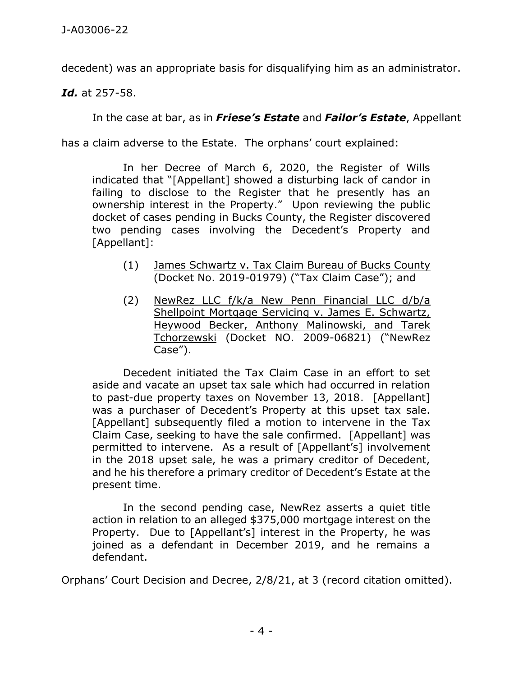decedent) was an appropriate basis for disqualifying him as an administrator.

*Id.* at 257-58.

In the case at bar, as in *Friese's Estate* and *Failor's Estate*, Appellant

has a claim adverse to the Estate. The orphans' court explained:

In her Decree of March 6, 2020, the Register of Wills indicated that "[Appellant] showed a disturbing lack of candor in failing to disclose to the Register that he presently has an ownership interest in the Property." Upon reviewing the public docket of cases pending in Bucks County, the Register discovered two pending cases involving the Decedent's Property and [Appellant]:

- (1) James Schwartz v. Tax Claim Bureau of Bucks County (Docket No. 2019-01979) ("Tax Claim Case"); and
- (2) NewRez LLC f/k/a New Penn Financial LLC d/b/a Shellpoint Mortgage Servicing v. James E. Schwartz, Heywood Becker, Anthony Malinowski, and Tarek Tchorzewski (Docket NO. 2009-06821) ("NewRez Case").

Decedent initiated the Tax Claim Case in an effort to set aside and vacate an upset tax sale which had occurred in relation to past-due property taxes on November 13, 2018. [Appellant] was a purchaser of Decedent's Property at this upset tax sale. [Appellant] subsequently filed a motion to intervene in the Tax Claim Case, seeking to have the sale confirmed. [Appellant] was permitted to intervene. As a result of [Appellant's] involvement in the 2018 upset sale, he was a primary creditor of Decedent, and he his therefore a primary creditor of Decedent's Estate at the present time.

In the second pending case, NewRez asserts a quiet title action in relation to an alleged \$375,000 mortgage interest on the Property. Due to [Appellant's] interest in the Property, he was joined as a defendant in December 2019, and he remains a defendant.

Orphans' Court Decision and Decree, 2/8/21, at 3 (record citation omitted).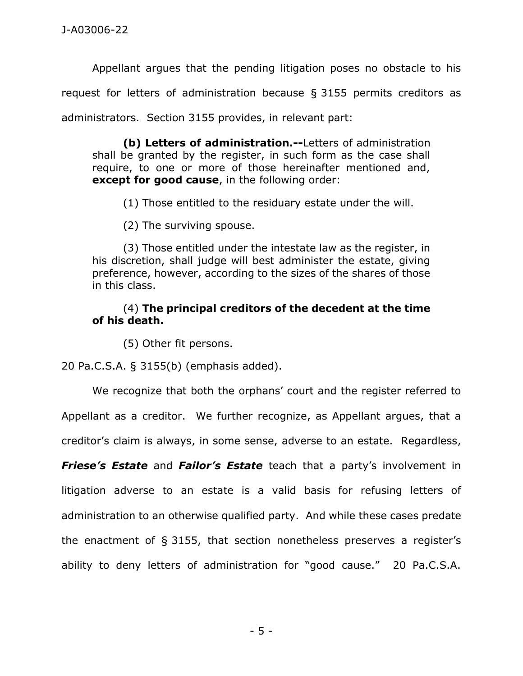Appellant argues that the pending litigation poses no obstacle to his request for letters of administration because § 3155 permits creditors as administrators. Section 3155 provides, in relevant part:

**(b) Letters of administration.--**Letters of administration shall be granted by the register, in such form as the case shall require, to one or more of those hereinafter mentioned and, **except for good cause**, in the following order:

(1) Those entitled to the residuary estate under the will.

(2) The surviving spouse.

(3) Those entitled under the intestate law as the register, in his discretion, shall judge will best administer the estate, giving preference, however, according to the sizes of the shares of those in this class.

## (4) **The principal creditors of the decedent at the time of his death.**

(5) Other fit persons.

20 Pa.C.S.A. § 3155(b) (emphasis added).

We recognize that both the orphans' court and the register referred to Appellant as a creditor. We further recognize, as Appellant argues, that a creditor's claim is always, in some sense, adverse to an estate. Regardless,

*Friese's Estate* and *Failor's Estate* teach that a party's involvement in litigation adverse to an estate is a valid basis for refusing letters of administration to an otherwise qualified party. And while these cases predate the enactment of § 3155, that section nonetheless preserves a register's ability to deny letters of administration for "good cause." 20 Pa.C.S.A.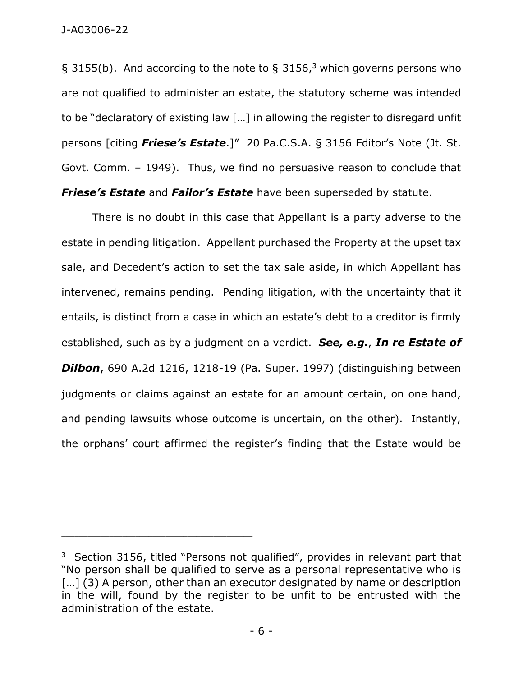§ 3155(b). And according to the note to § 3156,<sup>3</sup> which governs persons who are not qualified to administer an estate, the statutory scheme was intended to be "declaratory of existing law […] in allowing the register to disregard unfit persons [citing *Friese's Estate*.]" 20 Pa.C.S.A. § 3156 Editor's Note (Jt. St. Govt. Comm. – 1949). Thus, we find no persuasive reason to conclude that *Friese's Estate* and *Failor's Estate* have been superseded by statute.

There is no doubt in this case that Appellant is a party adverse to the estate in pending litigation. Appellant purchased the Property at the upset tax sale, and Decedent's action to set the tax sale aside, in which Appellant has intervened, remains pending. Pending litigation, with the uncertainty that it entails, is distinct from a case in which an estate's debt to a creditor is firmly established, such as by a judgment on a verdict. *See, e.g.*, *In re Estate of Dilbon*, 690 A.2d 1216, 1218-19 (Pa. Super. 1997) (distinguishing between judgments or claims against an estate for an amount certain, on one hand, and pending lawsuits whose outcome is uncertain, on the other). Instantly, the orphans' court affirmed the register's finding that the Estate would be

\_\_\_\_\_\_\_\_\_\_\_\_\_\_\_\_\_\_\_\_\_\_\_\_\_\_\_\_\_\_\_\_\_\_\_\_\_\_\_\_\_\_\_\_

 $3$  Section 3156, titled "Persons not qualified", provides in relevant part that "No person shall be qualified to serve as a personal representative who is [...] (3) A person, other than an executor designated by name or description in the will, found by the register to be unfit to be entrusted with the administration of the estate.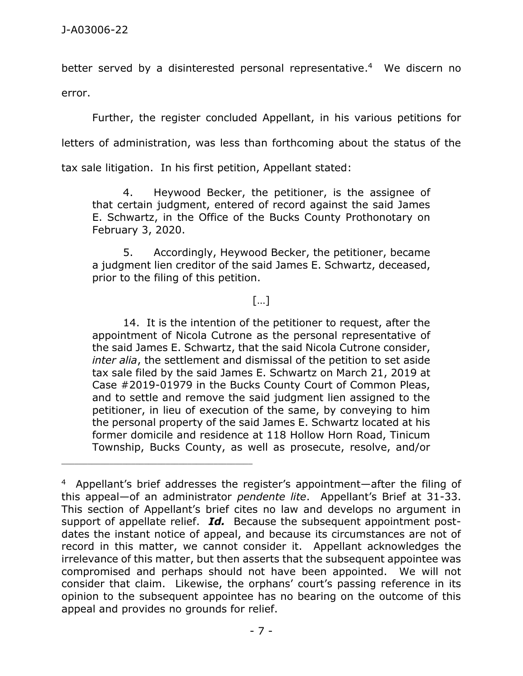better served by a disinterested personal representative.<sup>4</sup> We discern no error.

Further, the register concluded Appellant, in his various petitions for

letters of administration, was less than forthcoming about the status of the

tax sale litigation. In his first petition, Appellant stated:

\_\_\_\_\_\_\_\_\_\_\_\_\_\_\_\_\_\_\_\_\_\_\_\_\_\_\_\_\_\_\_\_\_\_\_\_\_\_\_\_\_\_\_\_

4. Heywood Becker, the petitioner, is the assignee of that certain judgment, entered of record against the said James E. Schwartz, in the Office of the Bucks County Prothonotary on February 3, 2020.

5. Accordingly, Heywood Becker, the petitioner, became a judgment lien creditor of the said James E. Schwartz, deceased, prior to the filing of this petition.

## […]

14. It is the intention of the petitioner to request, after the appointment of Nicola Cutrone as the personal representative of the said James E. Schwartz, that the said Nicola Cutrone consider, *inter alia*, the settlement and dismissal of the petition to set aside tax sale filed by the said James E. Schwartz on March 21, 2019 at Case #2019-01979 in the Bucks County Court of Common Pleas, and to settle and remove the said judgment lien assigned to the petitioner, in lieu of execution of the same, by conveying to him the personal property of the said James E. Schwartz located at his former domicile and residence at 118 Hollow Horn Road, Tinicum Township, Bucks County, as well as prosecute, resolve, and/or

<sup>4</sup> Appellant's brief addresses the register's appointment—after the filing of this appeal—of an administrator *pendente lite*. Appellant's Brief at 31-33. This section of Appellant's brief cites no law and develops no argument in support of appellate relief. *Id.* Because the subsequent appointment postdates the instant notice of appeal, and because its circumstances are not of record in this matter, we cannot consider it. Appellant acknowledges the irrelevance of this matter, but then asserts that the subsequent appointee was compromised and perhaps should not have been appointed. We will not consider that claim. Likewise, the orphans' court's passing reference in its opinion to the subsequent appointee has no bearing on the outcome of this appeal and provides no grounds for relief.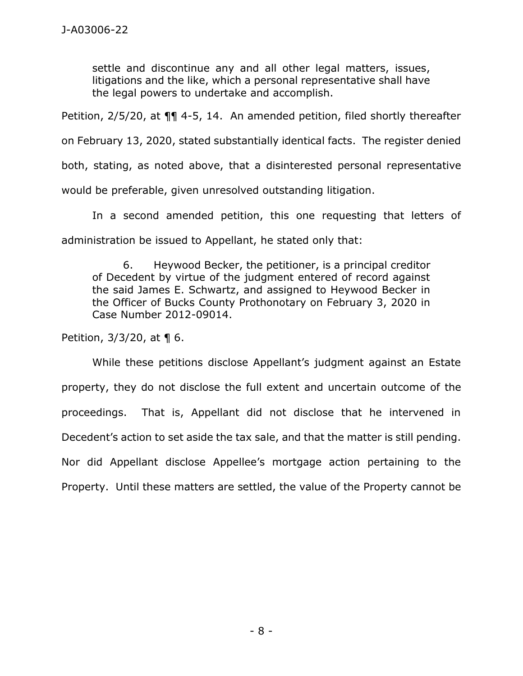settle and discontinue any and all other legal matters, issues, litigations and the like, which a personal representative shall have the legal powers to undertake and accomplish.

Petition, 2/5/20, at ¶¶ 4-5, 14. An amended petition, filed shortly thereafter

on February 13, 2020, stated substantially identical facts. The register denied

both, stating, as noted above, that a disinterested personal representative

would be preferable, given unresolved outstanding litigation.

In a second amended petition, this one requesting that letters of administration be issued to Appellant, he stated only that:

6. Heywood Becker, the petitioner, is a principal creditor of Decedent by virtue of the judgment entered of record against the said James E. Schwartz, and assigned to Heywood Becker in the Officer of Bucks County Prothonotary on February 3, 2020 in Case Number 2012-09014.

Petition, 3/3/20, at ¶ 6.

While these petitions disclose Appellant's judgment against an Estate property, they do not disclose the full extent and uncertain outcome of the proceedings. That is, Appellant did not disclose that he intervened in Decedent's action to set aside the tax sale, and that the matter is still pending. Nor did Appellant disclose Appellee's mortgage action pertaining to the Property. Until these matters are settled, the value of the Property cannot be